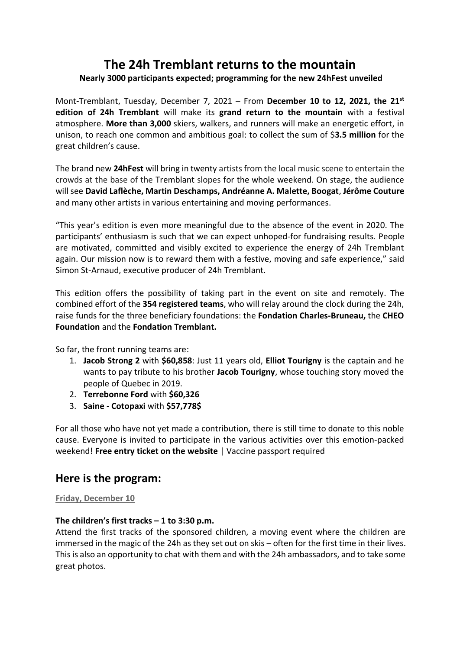# **The 24h Tremblant returns to the mountain Nearly 3000 participants expected; programming for the new 24hFest unveiled**

Mont-Tremblant, Tuesday, December 7, 2021 – From **December 10 to 12, 2021, the 21st edition of 24h Tremblant** will make its **grand return to the mountain** with a festival atmosphere. **More than 3,000** skiers, walkers, and runners will make an energetic effort, in unison, to reach one common and ambitious goal: to collect the sum of \$**3.5 million** for the great children's cause.

The brand new **24hFest** will bring in twenty artists from the local music scene to entertain the crowds at the base of the Tremblant slopes for the whole weekend. On stage, the audience will see **David Laflèche, Martin Deschamps, Andréanne A. Malette, Boogat**, **Jérôme Couture** and many other artists in various entertaining and moving performances.

"This year's edition is even more meaningful due to the absence of the event in 2020. The participants' enthusiasm is such that we can expect unhoped-for fundraising results. People are motivated, committed and visibly excited to experience the energy of 24h Tremblant again. Our mission now is to reward them with a festive, moving and safe experience," said Simon St-Arnaud, executive producer of 24h Tremblant.

This edition offers the possibility of taking part in the event on site and remotely. The combined effort of the **354 registered teams**, who will relay around the clock during the 24h, raise funds for the three beneficiary foundations: the **Fondation Charles-Bruneau,** the **CHEO Foundation** and the **Fondation Tremblant.**

So far, the front running teams are:

- 1. **Jacob Strong 2** with **\$60,858**: Just 11 years old, **Elliot Tourigny** is the captain and he wants to pay tribute to his brother **Jacob Tourigny**, whose touching story moved the people of Quebec in 2019.
- 2. **Terrebonne Ford** with **\$60,326**
- 3. **Saine - Cotopaxi** with **\$57,778\$**

For all those who have not yet made a contribution, there is still time to donate to this noble cause. Everyone is invited to participate in the various activities over this emotion-packed weekend! **Free entry ticket on the website** | Vaccine passport required

# **Here is the program:**

**Friday, December 10**

#### **The children's first tracks – 1 to 3:30 p.m.**

Attend the first tracks of the sponsored children, a moving event where the children are immersed in the magic of the 24h as they set out on skis – often for the first time in their lives. This is also an opportunity to chat with them and with the 24h ambassadors, and to take some great photos.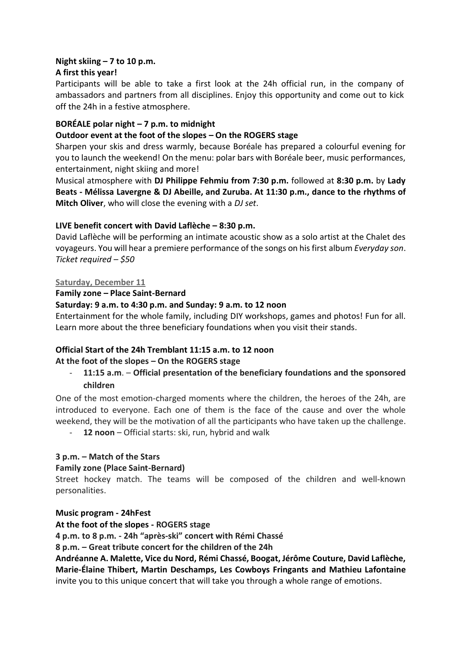#### **Night skiing – 7 to 10 p.m.**

# **A first this year!**

Participants will be able to take a first look at the 24h official run, in the company of ambassadors and partners from all disciplines. Enjoy this opportunity and come out to kick off the 24h in a festive atmosphere.

## **BORÉALE polar night – 7 p.m. to midnight**

## **Outdoor event at the foot of the slopes – On the ROGERS stage**

Sharpen your skis and dress warmly, because Boréale has prepared a colourful evening for you to launch the weekend! On the menu: polar bars with Boréale beer, music performances, entertainment, night skiing and more!

Musical atmosphere with **DJ Philippe Fehmiu from 7:30 p.m.** followed at **8:30 p.m.** by **Lady Beats - Mélissa Lavergne & DJ Abeille, and Zuruba. At 11:30 p.m., dance to the rhythms of Mitch Oliver**, who will close the evening with a *DJ set*.

# **LIVE benefit concert with David Laflèche – 8:30 p.m.**

David Laflèche will be performing an intimate acoustic show as a solo artist at the Chalet des voyageurs. You will hear a premiere performance of the songs on his first album *Everyday son*. *Ticket required – \$50*

#### **Saturday, December 11**

#### **Family zone – Place Saint-Bernard**

#### **Saturday: 9 a.m. to 4:30 p.m. and Sunday: 9 a.m. to 12 noon**

Entertainment for the whole family, including DIY workshops, games and photos! Fun for all. Learn more about the three beneficiary foundations when you visit their stands.

# **Official Start of the 24h Tremblant 11:15 a.m. to 12 noon**

# **At the foot of the slopes – On the ROGERS stage**

- **11:15 a.m**. – **Official presentation of the beneficiary foundations and the sponsored children**

One of the most emotion-charged moments where the children, the heroes of the 24h, are introduced to everyone. Each one of them is the face of the cause and over the whole weekend, they will be the motivation of all the participants who have taken up the challenge.

12 noon – Official starts: ski, run, hybrid and walk

#### **3 p.m. – Match of the Stars**

#### **Family zone (Place Saint-Bernard)**

Street hockey match. The teams will be composed of the children and well-known personalities.

**Music program - 24hFest** 

**At the foot of the slopes - ROGERS stage**

**4 p.m. to 8 p.m. - 24h "après-ski" concert with Rémi Chassé** 

**8 p.m. – Great tribute concert for the children of the 24h**

**Andréanne A. Malette, Vice du Nord, Rémi Chassé, Boogat, Jérôme Couture, David Laflèche, Marie-Élaine Thibert, Martin Deschamps, Les Cowboys Fringants and Mathieu Lafontaine** invite you to this unique concert that will take you through a whole range of emotions.